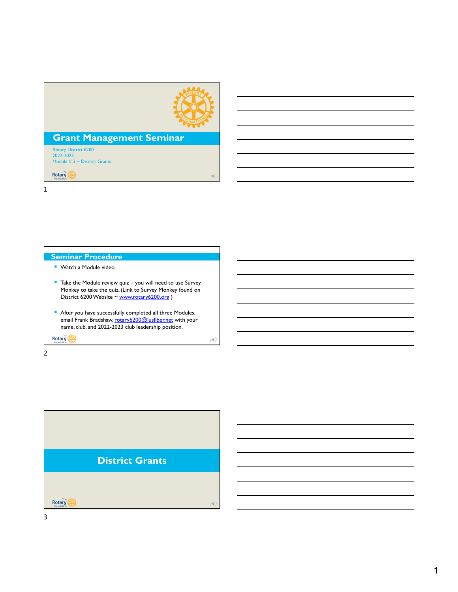

a)

 $A$ 

## **Grant Management Seminar**

Rotary District 6200 2022-2023 Module # 3 ~ District Grants

**Rotary** 

1

#### **Seminar Procedure**

- **Watch a Module video.**
- Take the Module review quiz you will need to use Survey Monkey to take the quiz. (Link to Survey Monkey found on District 6200 Website ~ www.rotary6200.org )
- After you have successfully completed all three Modules, email Frank Bradshaw, rotary6200@lusfiber.net with your name, club, and 2022-2023 club leadership position.

Rotary **1989** 

2



3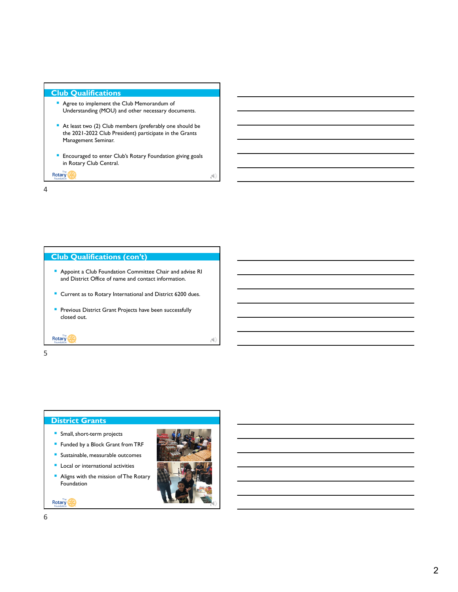#### **Club Qualifications**

- **Agree to implement the Club Memorandum of** Understanding (MOU) and other necessary documents.
- At least two (2) Club members (preferably one should be the 2021-2022 Club President) participate in the Grants Management Seminar.
- **Encouraged to enter Club's Rotary Foundation giving goals** in Rotary Club Central.

Rotary **AND** 

4

#### **Club Qualifications (con't)**

- Appoint a Club Foundation Committee Chair and advise RI and District Office of name and contact information.
- Current as to Rotary International and District 6200 dues.
- **Previous District Grant Projects have been successfully** closed out.

5

**Rotary** 

#### **District Grants**

- **Small, short-term projects**
- **Funded by a Block Grant from TRF**
- **Sustainable, measurable outcomes**
- **Local or international activities**
- **Aligns with the mission of The Rotary** Foundation

Rotary (A)



4

5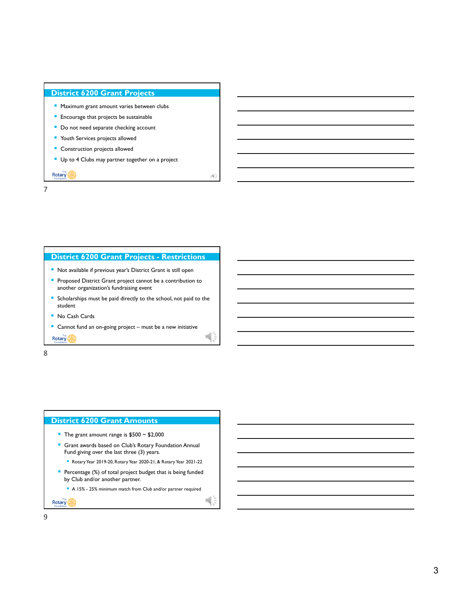#### **District 6200 Grant Projects**

- **Maximum grant amount varies between clubs**
- **Encourage that projects be sustainable**
- Do not need separate checking account
- **Youth Services projects allowed**
- **Construction projects allowed**
- Up to 4 Clubs may partner together on a project

Rotary (A)

# 7

#### **District 6200 Grant Projects - Restrictions**

- Not available if previous year's District Grant is still open
- **Proposed District Grant project cannot be a contribution to** another organization's fundraising event
- **Scholarships must be paid directly to the school, not paid to the** student
- No Cash Cards
- Cannot fund an on-going project must be a new initiative

**Rotary** 

8

#### **District 6200 Grant Amounts**

- The grant amount range is  $$500 \sim $2,000$
- **Grant awards based on Club's Rotary Foundation Annual** Fund giving over the last three (3) years.
	- Rotary Year 2019-20, Rotary Year 2020-21, & Rotary Year 2021-22
- **Percentage (%) of total project budget that is being funded** by Club and/or another partner.
	- A 15% 25% minimum match from Club and/or partner required

Rotary **1999** 

9

 $\mathbb{R}$ 

74)<br>1

 $\frac{1}{8}$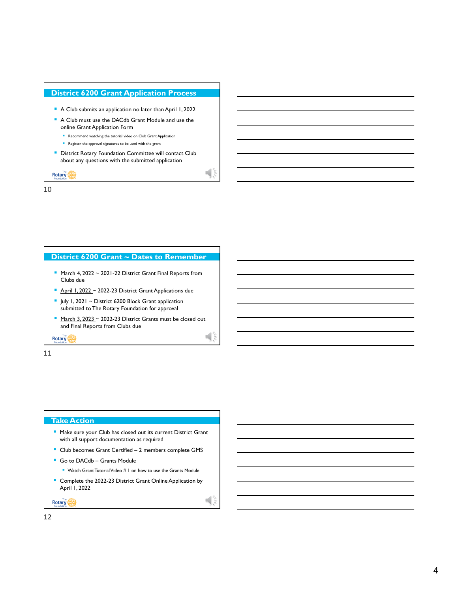

10

### **District 6200 Grant ~ Dates to Remember**

- March 4, 2022 ~ 2021-22 District Grant Final Reports from Clubs due
- **April 1, 2022 ~ 2022-23 District Grant Applications due**
- Uuly 1, 2021 ~ District 6200 Block Grant application submitted to The Rotary Foundation for approval
- $March 3, 2023 \sim 2022-23$  District Grants must be closed out and Final Reports from Clubs due

 $\mathbb{I}$ ,

 $\mathbb{R}$ 

Rotary **1989** 

11

#### **Take Action**

- **Make sure your Club has closed out its current District Grant** with all support documentation as required
- Club becomes Grant Certified 2 members complete GMS
- Go to DACdb Grants Module
	- Watch Grant Tutorial Video # 1 on how to use the Grants Module
- **Complete the 2022-23 District Grant Online Application by** April 1, 2022

Rotary (